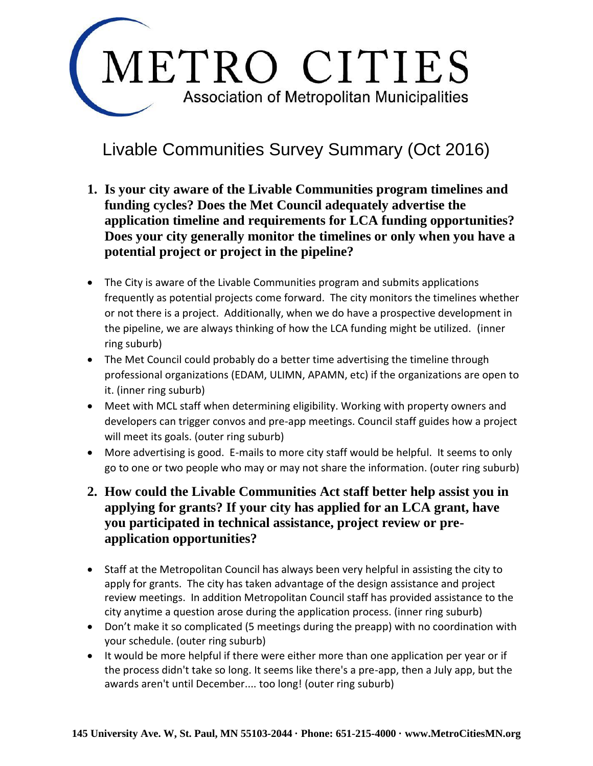

#### Livable Communities Survey Summary (Oct 2016)

- **1. Is your city aware of the Livable Communities program timelines and funding cycles? Does the Met Council adequately advertise the application timeline and requirements for LCA funding opportunities? Does your city generally monitor the timelines or only when you have a potential project or project in the pipeline?**
- The City is aware of the Livable Communities program and submits applications frequently as potential projects come forward. The city monitors the timelines whether or not there is a project. Additionally, when we do have a prospective development in the pipeline, we are always thinking of how the LCA funding might be utilized. (inner ring suburb)
- The Met Council could probably do a better time advertising the timeline through professional organizations (EDAM, ULIMN, APAMN, etc) if the organizations are open to it. (inner ring suburb)
- Meet with MCL staff when determining eligibility. Working with property owners and developers can trigger convos and pre-app meetings. Council staff guides how a project will meet its goals. (outer ring suburb)
- More advertising is good. E-mails to more city staff would be helpful. It seems to only go to one or two people who may or may not share the information. (outer ring suburb)
- **2. How could the Livable Communities Act staff better help assist you in applying for grants? If your city has applied for an LCA grant, have you participated in technical assistance, project review or preapplication opportunities?**
- Staff at the Metropolitan Council has always been very helpful in assisting the city to apply for grants. The city has taken advantage of the design assistance and project review meetings. In addition Metropolitan Council staff has provided assistance to the city anytime a question arose during the application process. (inner ring suburb)
- Don't make it so complicated (5 meetings during the preapp) with no coordination with your schedule. (outer ring suburb)
- It would be more helpful if there were either more than one application per year or if the process didn't take so long. It seems like there's a pre-app, then a July app, but the awards aren't until December.... too long! (outer ring suburb)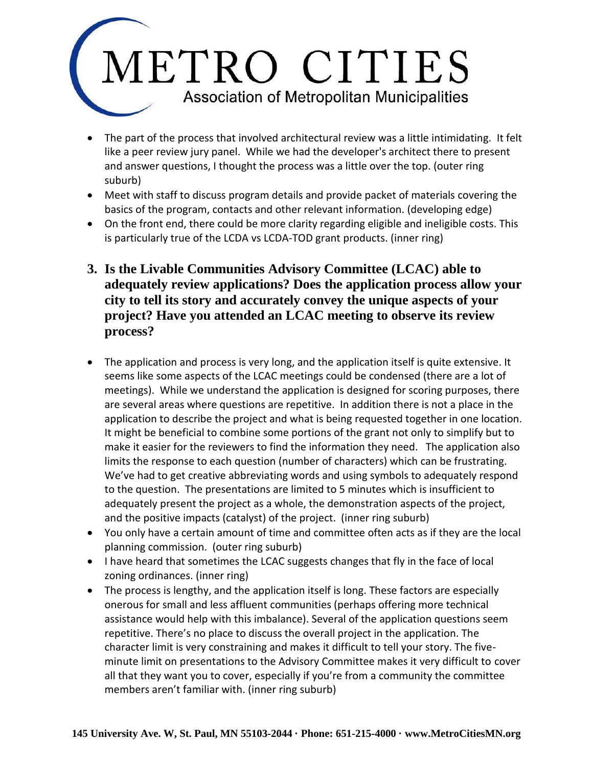- The part of the process that involved architectural review was a little intimidating. It felt like a peer review jury panel. While we had the developer's architect there to present and answer questions, I thought the process was a little over the top. (outer ring suburb)
- Meet with staff to discuss program details and provide packet of materials covering the basics of the program, contacts and other relevant information. (developing edge)
- On the front end, there could be more clarity regarding eligible and ineligible costs. This is particularly true of the LCDA vs LCDA-TOD grant products. (inner ring)
- **3. Is the Livable Communities Advisory Committee (LCAC) able to adequately review applications? Does the application process allow your city to tell its story and accurately convey the unique aspects of your project? Have you attended an LCAC meeting to observe its review process?**
- The application and process is very long, and the application itself is quite extensive. It seems like some aspects of the LCAC meetings could be condensed (there are a lot of meetings). While we understand the application is designed for scoring purposes, there are several areas where questions are repetitive. In addition there is not a place in the application to describe the project and what is being requested together in one location. It might be beneficial to combine some portions of the grant not only to simplify but to make it easier for the reviewers to find the information they need. The application also limits the response to each question (number of characters) which can be frustrating. We've had to get creative abbreviating words and using symbols to adequately respond to the question. The presentations are limited to 5 minutes which is insufficient to adequately present the project as a whole, the demonstration aspects of the project, and the positive impacts (catalyst) of the project. (inner ring suburb)
- You only have a certain amount of time and committee often acts as if they are the local planning commission. (outer ring suburb)
- I have heard that sometimes the LCAC suggests changes that fly in the face of local zoning ordinances. (inner ring)
- The process is lengthy, and the application itself is long. These factors are especially onerous for small and less affluent communities (perhaps offering more technical assistance would help with this imbalance). Several of the application questions seem repetitive. There's no place to discuss the overall project in the application. The character limit is very constraining and makes it difficult to tell your story. The fiveminute limit on presentations to the Advisory Committee makes it very difficult to cover all that they want you to cover, especially if you're from a community the committee members aren't familiar with. (inner ring suburb)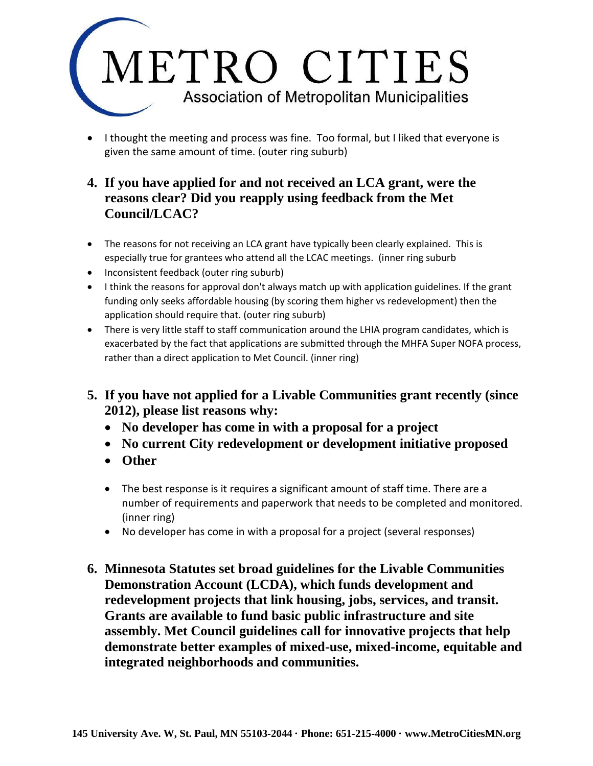• I thought the meeting and process was fine. Too formal, but I liked that everyone is given the same amount of time. (outer ring suburb)

#### **4. If you have applied for and not received an LCA grant, were the reasons clear? Did you reapply using feedback from the Met Council/LCAC?**

- The reasons for not receiving an LCA grant have typically been clearly explained. This is especially true for grantees who attend all the LCAC meetings. (inner ring suburb
- Inconsistent feedback (outer ring suburb)
- I think the reasons for approval don't always match up with application guidelines. If the grant funding only seeks affordable housing (by scoring them higher vs redevelopment) then the application should require that. (outer ring suburb)
- There is very little staff to staff communication around the LHIA program candidates, which is exacerbated by the fact that applications are submitted through the MHFA Super NOFA process, rather than a direct application to Met Council. (inner ring)
- **5. If you have not applied for a Livable Communities grant recently (since 2012), please list reasons why:**
	- **No developer has come in with a proposal for a project**
	- **No current City redevelopment or development initiative proposed**
	- **Other**
	- The best response is it requires a significant amount of staff time. There are a number of requirements and paperwork that needs to be completed and monitored. (inner ring)
	- No developer has come in with a proposal for a project (several responses)
- **6. Minnesota Statutes set broad guidelines for the Livable Communities Demonstration Account (LCDA), which funds development and redevelopment projects that link housing, jobs, services, and transit. Grants are available to fund basic public infrastructure and site assembly. Met Council guidelines call for innovative projects that help demonstrate better examples of mixed-use, mixed-income, equitable and integrated neighborhoods and communities.**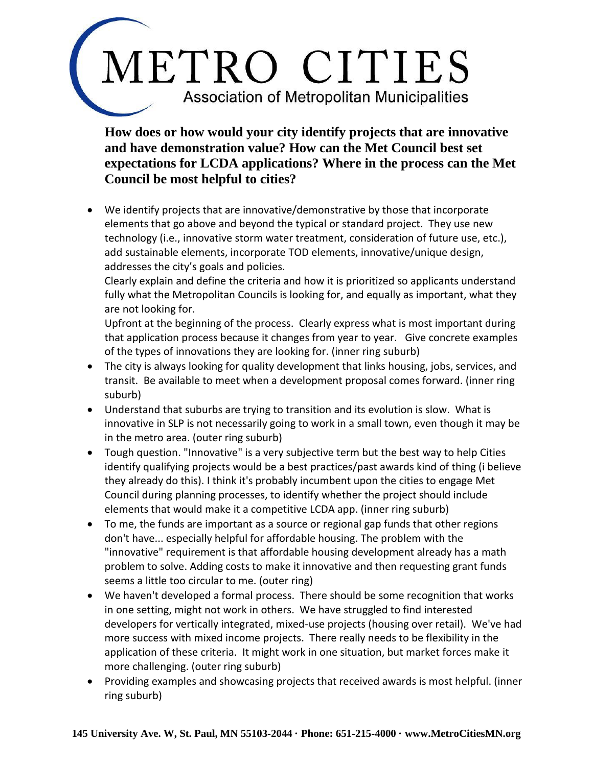**How does or how would your city identify projects that are innovative and have demonstration value? How can the Met Council best set expectations for LCDA applications? Where in the process can the Met Council be most helpful to cities?**

• We identify projects that are innovative/demonstrative by those that incorporate elements that go above and beyond the typical or standard project. They use new technology (i.e., innovative storm water treatment, consideration of future use, etc.), add sustainable elements, incorporate TOD elements, innovative/unique design, addresses the city's goals and policies.

Clearly explain and define the criteria and how it is prioritized so applicants understand fully what the Metropolitan Councils is looking for, and equally as important, what they are not looking for.

Upfront at the beginning of the process. Clearly express what is most important during that application process because it changes from year to year. Give concrete examples of the types of innovations they are looking for. (inner ring suburb)

- The city is always looking for quality development that links housing, jobs, services, and transit. Be available to meet when a development proposal comes forward. (inner ring suburb)
- Understand that suburbs are trying to transition and its evolution is slow. What is innovative in SLP is not necessarily going to work in a small town, even though it may be in the metro area. (outer ring suburb)
- Tough question. "Innovative" is a very subjective term but the best way to help Cities identify qualifying projects would be a best practices/past awards kind of thing (i believe they already do this). I think it's probably incumbent upon the cities to engage Met Council during planning processes, to identify whether the project should include elements that would make it a competitive LCDA app. (inner ring suburb)
- To me, the funds are important as a source or regional gap funds that other regions don't have... especially helpful for affordable housing. The problem with the "innovative" requirement is that affordable housing development already has a math problem to solve. Adding costs to make it innovative and then requesting grant funds seems a little too circular to me. (outer ring)
- We haven't developed a formal process. There should be some recognition that works in one setting, might not work in others. We have struggled to find interested developers for vertically integrated, mixed-use projects (housing over retail). We've had more success with mixed income projects. There really needs to be flexibility in the application of these criteria. It might work in one situation, but market forces make it more challenging. (outer ring suburb)
- Providing examples and showcasing projects that received awards is most helpful. (inner ring suburb)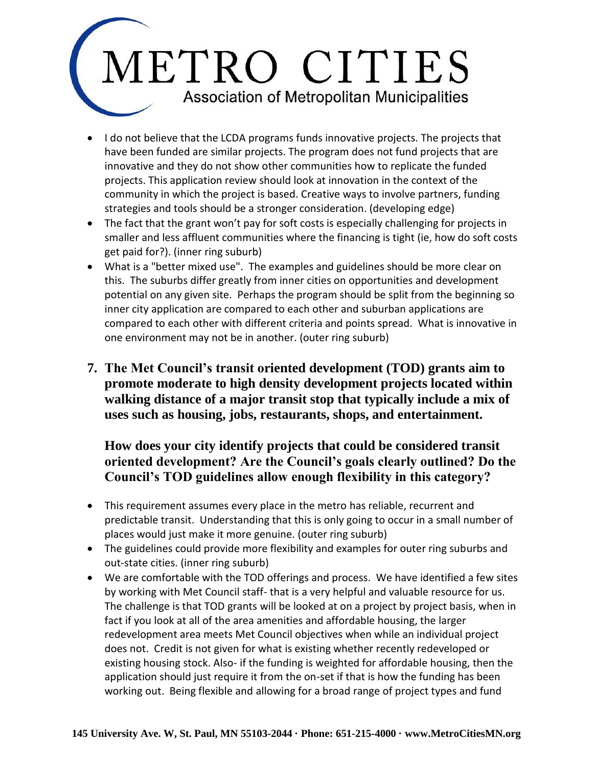- I do not believe that the LCDA programs funds innovative projects. The projects that have been funded are similar projects. The program does not fund projects that are innovative and they do not show other communities how to replicate the funded projects. This application review should look at innovation in the context of the community in which the project is based. Creative ways to involve partners, funding strategies and tools should be a stronger consideration. (developing edge)
- The fact that the grant won't pay for soft costs is especially challenging for projects in smaller and less affluent communities where the financing is tight (ie, how do soft costs get paid for?). (inner ring suburb)
- What is a "better mixed use". The examples and guidelines should be more clear on this. The suburbs differ greatly from inner cities on opportunities and development potential on any given site. Perhaps the program should be split from the beginning so inner city application are compared to each other and suburban applications are compared to each other with different criteria and points spread. What is innovative in one environment may not be in another. (outer ring suburb)
- **7. The Met Council's transit oriented development (TOD) grants aim to promote moderate to high density development projects located within walking distance of a major transit stop that typically include a mix of uses such as housing, jobs, restaurants, shops, and entertainment.**

#### **How does your city identify projects that could be considered transit oriented development? Are the Council's goals clearly outlined? Do the Council's TOD guidelines allow enough flexibility in this category?**

- This requirement assumes every place in the metro has reliable, recurrent and predictable transit. Understanding that this is only going to occur in a small number of places would just make it more genuine. (outer ring suburb)
- The guidelines could provide more flexibility and examples for outer ring suburbs and out-state cities. (inner ring suburb)
- We are comfortable with the TOD offerings and process. We have identified a few sites by working with Met Council staff- that is a very helpful and valuable resource for us. The challenge is that TOD grants will be looked at on a project by project basis, when in fact if you look at all of the area amenities and affordable housing, the larger redevelopment area meets Met Council objectives when while an individual project does not. Credit is not given for what is existing whether recently redeveloped or existing housing stock. Also- if the funding is weighted for affordable housing, then the application should just require it from the on-set if that is how the funding has been working out. Being flexible and allowing for a broad range of project types and fund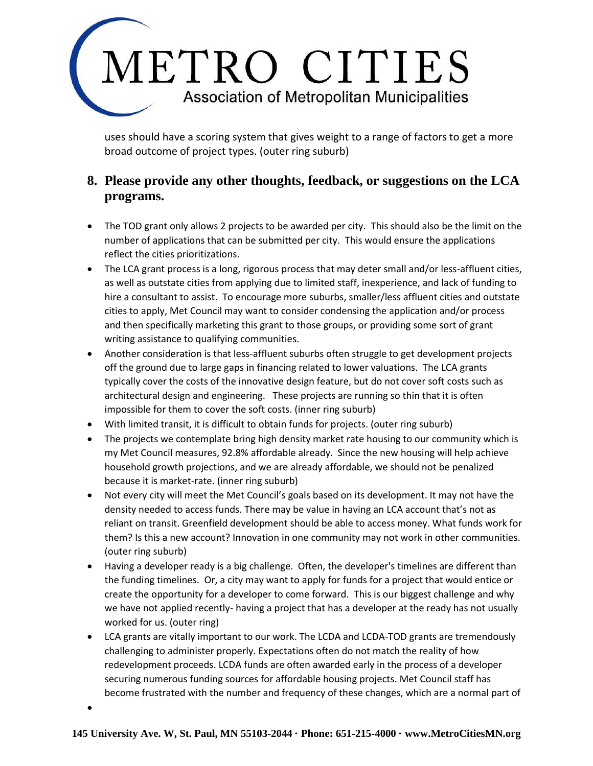uses should have a scoring system that gives weight to a range of factors to get a more broad outcome of project types. (outer ring suburb)

#### **8. Please provide any other thoughts, feedback, or suggestions on the LCA programs.**

- The TOD grant only allows 2 projects to be awarded per city. This should also be the limit on the number of applications that can be submitted per city. This would ensure the applications reflect the cities prioritizations.
- The LCA grant process is a long, rigorous process that may deter small and/or less-affluent cities, as well as outstate cities from applying due to limited staff, inexperience, and lack of funding to hire a consultant to assist. To encourage more suburbs, smaller/less affluent cities and outstate cities to apply, Met Council may want to consider condensing the application and/or process and then specifically marketing this grant to those groups, or providing some sort of grant writing assistance to qualifying communities.
- Another consideration is that less-affluent suburbs often struggle to get development projects off the ground due to large gaps in financing related to lower valuations. The LCA grants typically cover the costs of the innovative design feature, but do not cover soft costs such as architectural design and engineering. These projects are running so thin that it is often impossible for them to cover the soft costs. (inner ring suburb)
- With limited transit, it is difficult to obtain funds for projects. (outer ring suburb)
- The projects we contemplate bring high density market rate housing to our community which is my Met Council measures, 92.8% affordable already. Since the new housing will help achieve household growth projections, and we are already affordable, we should not be penalized because it is market-rate. (inner ring suburb)
- Not every city will meet the Met Council's goals based on its development. It may not have the density needed to access funds. There may be value in having an LCA account that's not as reliant on transit. Greenfield development should be able to access money. What funds work for them? Is this a new account? Innovation in one community may not work in other communities. (outer ring suburb)
- Having a developer ready is a big challenge. Often, the developer's timelines are different than the funding timelines. Or, a city may want to apply for funds for a project that would entice or create the opportunity for a developer to come forward. This is our biggest challenge and why we have not applied recently- having a project that has a developer at the ready has not usually worked for us. (outer ring)
- LCA grants are vitally important to our work. The LCDA and LCDA-TOD grants are tremendously challenging to administer properly. Expectations often do not match the reality of how redevelopment proceeds. LCDA funds are often awarded early in the process of a developer securing numerous funding sources for affordable housing projects. Met Council staff has become frustrated with the number and frequency of these changes, which are a normal part of